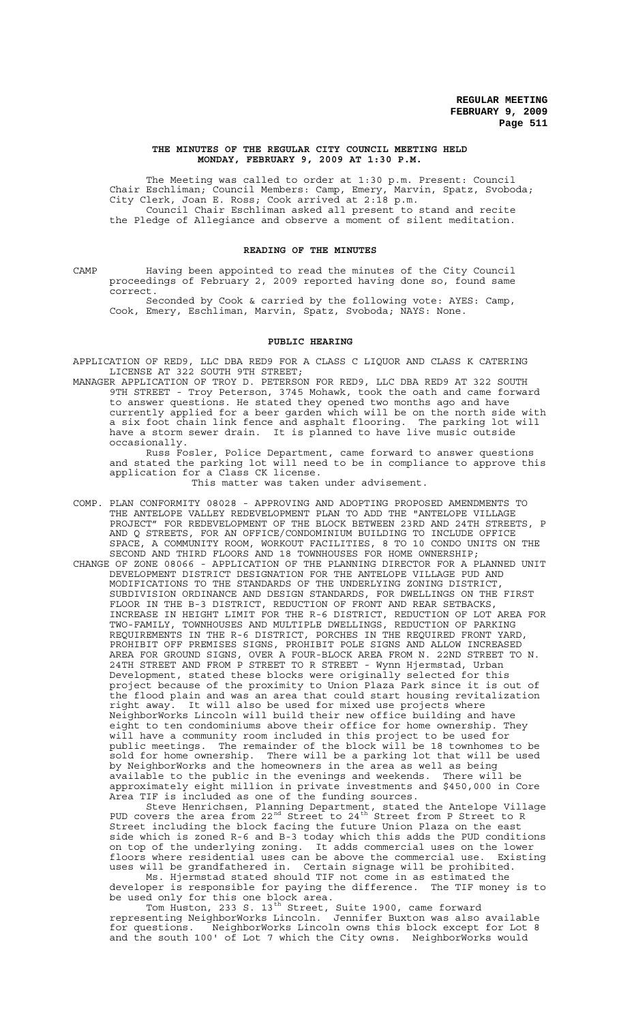#### **THE MINUTES OF THE REGULAR CITY COUNCIL MEETING HELD MONDAY, FEBRUARY 9, 2009 AT 1:30 P.M.**

The Meeting was called to order at 1:30 p.m. Present: Council Chair Eschliman; Council Members: Camp, Emery, Marvin, Spatz, Svoboda; City Clerk, Joan E. Ross; Cook arrived at 2:18 p.m. Council Chair Eschliman asked all present to stand and recite the Pledge of Allegiance and observe a moment of silent meditation.

#### **READING OF THE MINUTES**

CAMP Having been appointed to read the minutes of the City Council proceedings of February 2, 2009 reported having done so, found same correct.

Seconded by Cook & carried by the following vote: AYES: Camp, Cook, Emery, Eschliman, Marvin, Spatz, Svoboda; NAYS: None.

#### **PUBLIC HEARING**

APPLICATION OF RED9, LLC DBA RED9 FOR A CLASS C LIQUOR AND CLASS K CATERING LICENSE AT 322 SOUTH 9TH STREET;

MANAGER APPLICATION OF TROY D. PETERSON FOR RED9, LLC DBA RED9 AT 322 SOUTH 9TH STREET - Troy Peterson, 3745 Mohawk, took the oath and came forward to answer questions. He stated they opened two months ago and have currently applied for a beer garden which will be on the north side with a six foot chain link fence and asphalt flooring. The parking lot will have a storm sewer drain. It is planned to have live music outside occasionally.

Russ Fosler, Police Department, came forward to answer questions and stated the parking lot will need to be in compliance to approve this application for a Class CK license.

This matter was taken under advisement.

- COMP. PLAN CONFORMITY 08028 APPROVING AND ADOPTING PROPOSED AMENDMENTS TO THE ANTELOPE VALLEY REDEVELOPMENT PLAN TO ADD THE "ANTELOPE VILLAGE PROJECT" FOR REDEVELOPMENT OF THE BLOCK BETWEEN 23RD AND 24TH STREETS, P AND Q STREETS, FOR AN OFFICE/CONDOMINIUM BUILDING TO INCLUDE OFFICE SPACE, A COMMUNITY ROOM, WORKOUT FACILITIES, 8 TO 10 CONDO UNITS ON THE SECOND AND THIRD FLOORS AND 18 TOWNHOUSES FOR HOME OWNERSHIP;
- CHANGE OF ZONE 08066 APPLICATION OF THE PLANNING DIRECTOR FOR A PLANNED UNIT DEVELOPMENT DISTRICT DESIGNATION FOR THE ANTELOPE VILLAGE PUD AND MODIFICATIONS TO THE STANDARDS OF THE UNDERLYING ZONING DISTRICT, SUBDIVISION ORDINANCE AND DESIGN STANDARDS, FOR DWELLINGS ON THE FIRST FLOOR IN THE B-3 DISTRICT, REDUCTION OF FRONT AND REAR SETBACKS, INCREASE IN HEIGHT LIMIT FOR THE R-6 DISTRICT, REDUCTION OF LOT AREA FOR TWO-FAMILY, TOWNHOUSES AND MULTIPLE DWELLINGS, REDUCTION OF PARKING REQUIREMENTS IN THE R-6 DISTRICT, PORCHES IN THE REQUIRED FRONT YARD, PROHIBIT OFF PREMISES SIGNS, PROHIBIT POLE SIGNS AND ALLOW INCREASED AREA FOR GROUND SIGNS, OVER A FOUR-BLOCK AREA FROM N. 22ND STREET TO N. 24TH STREET AND FROM P STREET TO R STREET - Wynn Hjermstad, Urban Development, stated these blocks were originally selected for this project because of the proximity to Union Plaza Park since it is out of the flood plain and was an area that could start housing revitalization It will also be used for mixed use projects where NeighborWorks Lincoln will build their new office building and have eight to ten condominiums above their office for home ownership. They will have a community room included in this project to be used for public meetings. The remainder of the block will be 18 townhomes to be sold for home ownership. There will be a parking lot that will be used by NeighborWorks and the homeowners in the area as well as being available to the public in the evenings and weekends. There will be approximately eight million in private investments and \$450,000 in Core Area TIF is included as one of the funding sources.

Steve Henrichsen, Planning Department, stated the Antelope Village PUD covers the area from  $22^{nd}$  Street to  $24^{th}$  Street from P Street to R Street including the block facing the future Union Plaza on the east side which is zoned R-6 and B-3 today which this adds the PUD conditions on top of the underlying zoning. It adds commercial uses on the lower floors where residential uses can be above the commercial use. Existing uses will be grandfathered in. Certain signage will be prohibited.

Ms. Hjermstad stated should TIF not come in as estimated the developer is responsible for paying the difference. The TIF money is to be used only for this one block area.

Tom Huston, 233 S. 13<sup>th</sup> Street, Suite 1900, came forward representing NeighborWorks Lincoln. Jennifer Buxton was also available for questions. NeighborWorks Lincoln owns this block except for Lot 8 and the south 100' of Lot 7 which the City owns. NeighborWorks would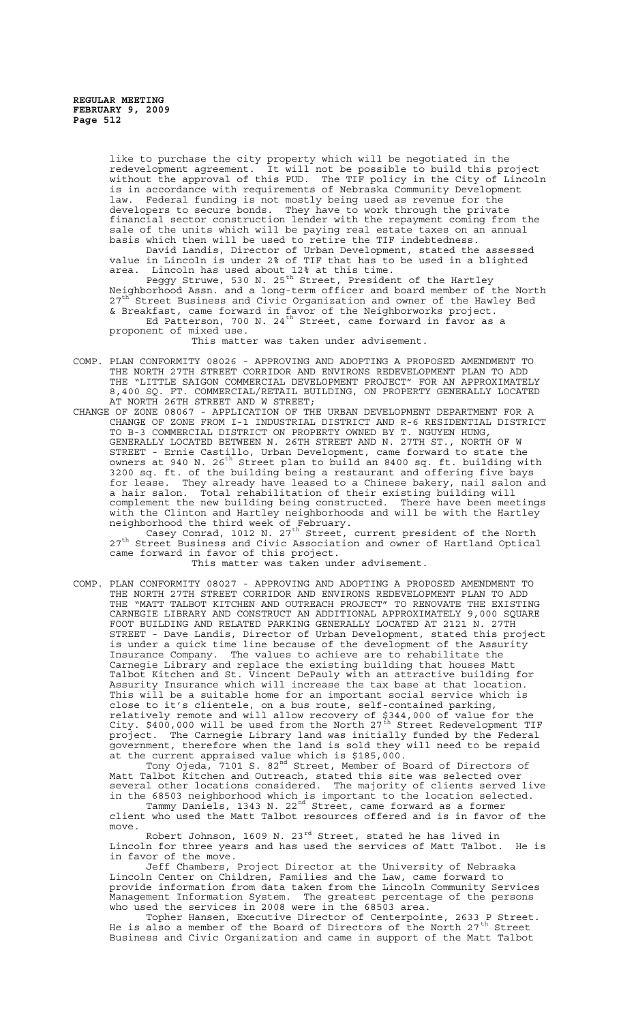like to purchase the city property which will be negotiated in the redevelopment agreement. It will not be possible to build this project without the approval of this PUD. The TIF policy in the City of Lincoln is in accordance with requirements of Nebraska Community Development law. Federal funding is not mostly being used as revenue for the developers to secure bonds. They have to work through the private financial sector construction lender with the repayment coming from the sale of the units which will be paying real estate taxes on an annual basis which then will be used to retire the TIF indebtedness.

David Landis, Director of Urban Development, stated the assessed value in Lincoln is under 2% of TIF that has to be used in a blighted area. Lincoln has used about 12% at this time.

Peggy Struwe, 530 N. 25<sup>th</sup> Street, President of the Hartley Neighborhood Assn. and a long-term officer and board member of the North 27<sup>th</sup> Street Business and Civic Organization and owner of the Hawley Bed & Breakfast, came forward in favor of the Neighborworks project. Ed Patterson, 700 N. 24<sup>th</sup> Street, came forward in favor as a proponent of mixed use.

This matter was taken under advisement.

- COMP. PLAN CONFORMITY 08026 APPROVING AND ADOPTING A PROPOSED AMENDMENT TO THE NORTH 27TH STREET CORRIDOR AND ENVIRONS REDEVELOPMENT PLAN TO ADD THE "LITTLE SAIGON COMMERCIAL DEVELOPMENT PROJECT" FOR AN APPROXIMATELY 8,400 SQ. FT. COMMERCIAL/RETAIL BUILDING, ON PROPERTY GENERALLY LOCATED AT NORTH 26TH STREET AND W STREET;
- CHANGE OF ZONE 08067 APPLICATION OF THE URBAN DEVELOPMENT DEPARTMENT FOR A CHANGE OF ZONE FROM I-1 INDUSTRIAL DISTRICT AND R-6 RESIDENTIAL DISTRICT TO B-3 COMMERCIAL DISTRICT ON PROPERTY OWNED BY T. NGUYEN HUNG, GENERALLY LOCATED BETWEEN N. 26TH STREET AND N. 27TH ST., NORTH OF W STREET - Ernie Castillo, Urban Development, came forward to state the owners at 940 N. 26<sup>th</sup> Street plan to build an 8400 sq. ft. building with 3200 sq. ft. of the building being a restaurant and offering five bays for lease. They already have leased to a Chinese bakery, nail salon and a hair salon. Total rehabilitation of their existing building will complement the new building being constructed. There have been meetings with the Clinton and Hartley neighborhoods and will be with the Hartley neighborhood the third week of February.

Casey Conrad, 1012 N. 27<sup>th</sup> Street, current president of the North 27<sup>th</sup> Street Business and Civic Association and owner of Hartland Optical came forward in favor of this project.

This matter was taken under advisement.

COMP. PLAN CONFORMITY 08027 - APPROVING AND ADOPTING A PROPOSED AMENDMENT TO THE NORTH 27TH STREET CORRIDOR AND ENVIRONS REDEVELOPMENT PLAN TO ADD THE "MATT TALBOT KITCHEN AND OUTREACH PROJECT" TO RENOVATE THE EXISTING CARNEGIE LIBRARY AND CONSTRUCT AN ADDITIONAL APPROXIMATELY 9,000 SQUARE FOOT BUILDING AND RELATED PARKING GENERALLY LOCATED AT 2121 N. 27TH STREET - Dave Landis, Director of Urban Development, stated this project is under a quick time line because of the development of the Assurity Insurance Company. The values to achieve are to rehabilitate the Carnegie Library and replace the existing building that houses Matt Talbot Kitchen and St. Vincent DePauly with an attractive building for Assurity Insurance which will increase the tax base at that location. This will be a suitable home for an important social service which is close to it's clientele, on a bus route, self-contained parking, relatively remote and will allow recovery of \$344,000 of value for the City. \$400,000 will be used from the North 27<sup>th</sup> Street Redevelopment TIF project. The Carnegie Library land was initially funded by the Federal government, therefore when the land is sold they will need to be repaid at the current appraised value which is \$185,000.

Tony Ojeda, 7101 S. 82<sup>nd</sup> Street, Member of Board of Directors of Matt Talbot Kitchen and Outreach, stated this site was selected over several other locations considered. The majority of clients served live in the 68503 neighborhood which is important to the location selected.

Tammy Daniels, 1343 N. 22<sup>nd</sup> Street, came forward as a former client who used the Matt Talbot resources offered and is in favor of the move.

Robert Johnson, 1609 N. 23 $^{rd}$  Street, stated he has lived in Lincoln for three years and has used the services of Matt Talbot. He is in favor of the move.

Jeff Chambers, Project Director at the University of Nebraska Lincoln Center on Children, Families and the Law, came forward to provide information from data taken from the Lincoln Community Services Management Information System. The greatest percentage of the persons who used the services in 2008 were in the 68503 area.

Topher Hansen, Executive Director of Centerpointe, 2633 P Street. He is also a member of the Board of Directors of the North 27<sup>th</sup> Street Business and Civic Organization and came in support of the Matt Talbot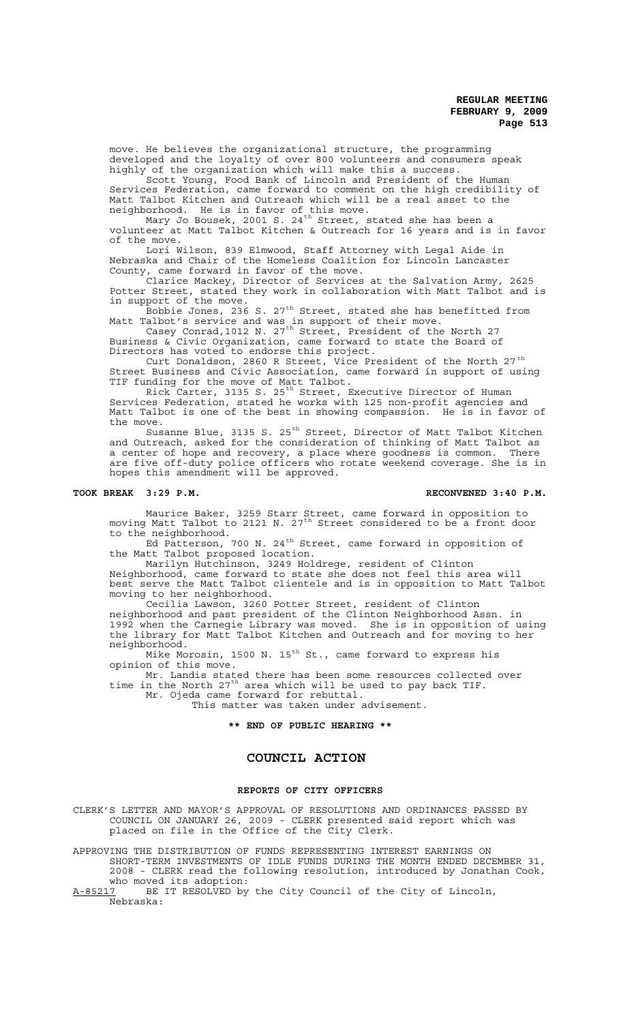move. He believes the organizational structure, the programming developed and the loyalty of over 800 volunteers and consumers speak highly of the organization which will make this a success.

Scott Young, Food Bank of Lincoln and President of the Human Services Federation, came forward to comment on the high credibility of Matt Talbot Kitchen and Outreach which will be a real asset to the neighborhood. He is in favor of this move.

Mary Jo Bousek, 2001 S. 24 $^{\text{th}}$  Street, stated she has been a volunteer at Matt Talbot Kitchen & Outreach for 16 years and is in favor of the move.

Lori Wilson, 839 Elmwood, Staff Attorney with Legal Aide in Nebraska and Chair of the Homeless Coalition for Lincoln Lancaster County, came forward in favor of the move.

Clarice Mackey, Director of Services at the Salvation Army, 2625 Potter Street, stated they work in collaboration with Matt Talbot and is in support of the move.

Bobbie Jones, 236 S. 27<sup>th</sup> Street, stated she has benefitted from Matt Talbot's service and was in support of their move.

Casey Conrad,1012 N. 27<sup>th</sup> Street, President of the North 27 Business & Civic Organization, came forward to state the Board of Directors has voted to endorse this project.

Curt Donaldson, 2860 R Street, Vice President of the North 27<sup>th</sup> Street Business and Civic Association, came forward in support of using TIF funding for the move of Matt Talbot.

Rick Carter, 3135 S. 25<sup>th</sup> Street, Executive Director of Human Services Federation, stated he works with 125 non-profit agencies and Matt Talbot is one of the best in showing compassion. He is in favor of the move.

Susanne Blue, 3135 S. 25<sup>th</sup> Street, Director of Matt Talbot Kitchen and Outreach, asked for the consideration of thinking of Matt Talbot as a center of hope and recovery, a place where goodness is common. There are five off-duty police officers who rotate weekend coverage. She is in hopes this amendment will be approved.

#### **TOOK BREAK 3:29 P.M. RECONVENED 3:40 P.M.**

Maurice Baker, 3259 Starr Street, came forward in opposition to moving Matt Talbot to 2121 N. 27<sup>th</sup> Street considered to be a front door to the neighborhood.

Ed Patterson, 700 N. 24<sup>th</sup> Street, came forward in opposition of the Matt Talbot proposed location.

Marilyn Hutchinson, 3249 Holdrege, resident of Clinton Neighborhood, came forward to state she does not feel this area will best serve the Matt Talbot clientele and is in opposition to Matt Talbot moving to her neighborhood.

Cecilia Lawson, 3260 Potter Street, resident of Clinton neighborhood and past president of the Clinton Neighborhood Assn. in 1992 when the Carnegie Library was moved. She is in opposition of using the library for Matt Talbot Kitchen and Outreach and for moving to her neighborhood.

Mike Morosin, 1500 N. 15<sup>th</sup> St., came forward to express his opinion of this move.

Mr. Landis stated there has been some resources collected over time in the North 27<sup>th</sup> area which will be used to pay back TIF. Mr. Ojeda came forward for rebuttal.

This matter was taken under advisement.

#### **\*\* END OF PUBLIC HEARING \*\***

## **COUNCIL ACTION**

#### **REPORTS OF CITY OFFICERS**

CLERK'S LETTER AND MAYOR'S APPROVAL OF RESOLUTIONS AND ORDINANCES PASSED BY COUNCIL ON JANUARY 26, 2009 - CLERK presented said report which was placed on file in the Office of the City Clerk.

APPROVING THE DISTRIBUTION OF FUNDS REPRESENTING INTEREST EARNINGS ON SHORT-TERM INVESTMENTS OF IDLE FUNDS DURING THE MONTH ENDED DECEMBER 31,

2008 - CLERK read the following resolution, introduced by Jonathan Cook, who moved its adoption:

A-85217 BE IT RESOLVED by the City Council of the City of Lincoln, Nebraska: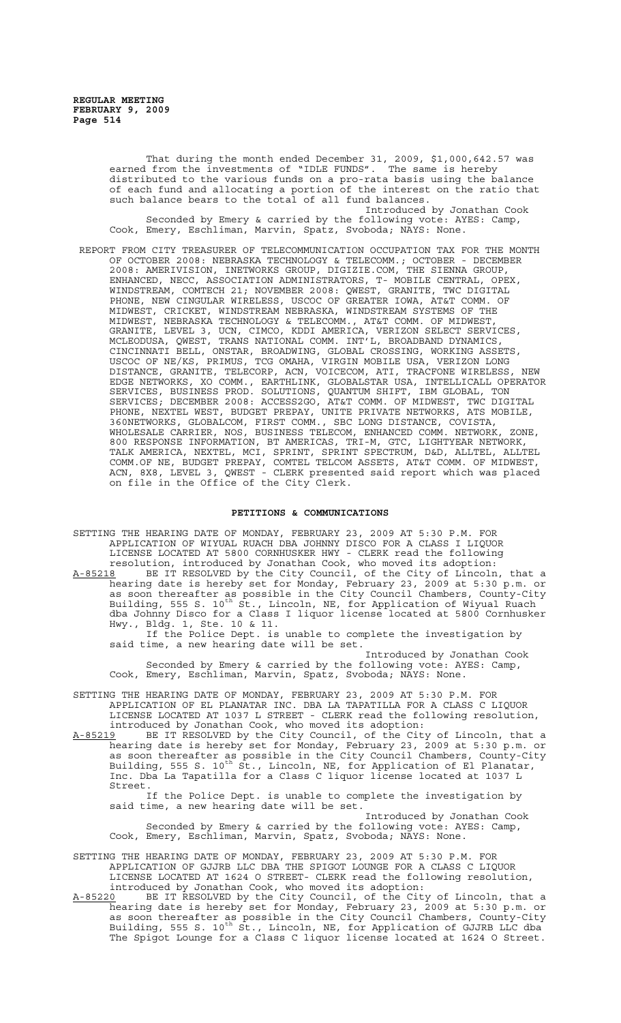That during the month ended December 31, 2009, \$1,000,642.57 was earned from the investments of "IDLE FUNDS". The same is hereby distributed to the various funds on a pro-rata basis using the balance of each fund and allocating a portion of the interest on the ratio that such balance bears to the total of all fund balances.

Introduced by Jonathan Cook Seconded by Emery & carried by the following vote: AYES: Camp, Cook, Emery, Eschliman, Marvin, Spatz, Svoboda; NAYS: None.

 REPORT FROM CITY TREASURER OF TELECOMMUNICATION OCCUPATION TAX FOR THE MONTH OF OCTOBER 2008: NEBRASKA TECHNOLOGY & TELECOMM.; OCTOBER - DECEMBER 2008: AMERIVISION, INETWORKS GROUP, DIGIZIE.COM, THE SIENNA GROUP, ENHANCED, NECC, ASSOCIATION ADMINISTRATORS, T- MOBILE CENTRAL, OPEX, WINDSTREAM, COMTECH 21; NOVEMBER 2008: QWEST, GRANITE, TWC DIGITAL PHONE, NEW CINGULAR WIRELESS, USCOC OF GREATER IOWA, AT&T COMM. OF MIDWEST, CRICKET, WINDSTREAM NEBRASKA, WINDSTREAM SYSTEMS OF THE MIDWEST, NEBRASKA TECHNOLOGY & TELECOMM., AT&T COMM. OF MIDWEST, GRANITE, LEVEL 3, UCN, CIMCO, KDDI AMERICA, VERIZON SELECT SERVICES, MCLEODUSA, QWEST, TRANS NATIONAL COMM. INT'L, BROADBAND DYNAMICS, CINCINNATI BELL, ONSTAR, BROADWING, GLOBAL CROSSING, WORKING ASSETS, USCOC OF NE/KS, PRIMUS, TCG OMAHA, VIRGIN MOBILE USA, VERIZON LONG DISTANCE, GRANITE, TELECORP, ACN, VOICECOM, ATI, TRACFONE WIRELESS, NEW EDGE NETWORKS, XO COMM., EARTHLINK, GLOBALSTAR USA, INTELLICALL OPERATOR SERVICES, BUSINESS PROD. SOLUTIONS, QUANTUM SHIFT, IBM GLOBAL, TON SERVICES; DECEMBER 2008: ACCESS2GO, AT&T COMM. OF MIDWEST, TWC DIGITAL PHONE, NEXTEL WEST, BUDGET PREPAY, UNITE PRIVATE NETWORKS, ATS MOBILE, 360NETWORKS, GLOBALCOM, FIRST COMM., SBC LONG DISTANCE, COVISTA, WHOLESALE CARRIER, NOS, BUSINESS TELECOM, ENHANCED COMM. NETWORK, ZONE, 800 RESPONSE INFORMATION, BT AMERICAS, TRI-M, GTC, LIGHTYEAR NETWORK, TALK AMERICA, NEXTEL, MCI, SPRINT, SPRINT SPECTRUM, D&D, ALLTEL, ALLTEL COMM.OF NE, BUDGET PREPAY, COMTEL TELCOM ASSETS, AT&T COMM. OF MIDWEST, ACN, 8X8, LEVEL 3, QWEST - CLERK presented said report which was placed on file in the Office of the City Clerk.

#### **PETITIONS & COMMUNICATIONS**

SETTING THE HEARING DATE OF MONDAY, FEBRUARY 23, 2009 AT 5:30 P.M. FOR APPLICATION OF WIYUAL RUACH DBA JOHNNY DISCO FOR A CLASS I LIQUOR LICENSE LOCATED AT 5800 CORNHUSKER HWY - CLERK read the following resolution, introduced by Jonathan Cook, who moved its adoption: A-85218 BE IT RESOLVED by the City Council, of the City of Lincoln, that a hearing date is hereby set for Monday, February 23, 2009 at 5:30 p.m. or as soon thereafter as possible in the City Council Chambers, County-City Building, 555 S. 10<sup>th</sup> St., Lincoln, NE, for Application of Wiyual Ruach dba Johnny Disco for a Class I liquor license located at 5800 Cornhusker Hwy., Bldg. 1, Ste. 10 & 11.

If the Police Dept. is unable to complete the investigation by said time, a new hearing date will be set.

Introduced by Jonathan Cook Seconded by Emery & carried by the following vote: AYES: Camp, Cook, Emery, Eschliman, Marvin, Spatz, Svoboda; NAYS: None.

SETTING THE HEARING DATE OF MONDAY, FEBRUARY 23, 2009 AT 5:30 P.M. FOR APPLICATION OF EL PLANATAR INC. DBA LA TAPATILLA FOR A CLASS C LIQUOR LICENSE LOCATED AT 1037 L STREET - CLERK read the following resolution, introduced by Jonathan Cook, who moved its adoption:

A-85219 BE IT RESOLVED by the City Council, of the City of Lincoln, that a hearing date is hereby set for Monday, February 23, 2009 at 5:30 p.m. or as soon thereafter as possible in the City Council Chambers, County-City Building, 555 S. 10<sup>th</sup> St., Lincoln, NE, for Application of El Planatar, Inc. Dba La Tapatilla for a Class C liquor license located at 1037 L Street.

If the Police Dept. is unable to complete the investigation by said time, a new hearing date will be set.

Introduced by Jonathan Cook Seconded by Emery & carried by the following vote: AYES: Camp, Cook, Emery, Eschliman, Marvin, Spatz, Svoboda; NAYS: None.

SETTING THE HEARING DATE OF MONDAY, FEBRUARY 23, 2009 AT 5:30 P.M. FOR APPLICATION OF GJJRB LLC DBA THE SPIGOT LOUNGE FOR A CLASS C LIQUOR LICENSE LOCATED AT 1624 O STREET- CLERK read the following resolution, introduced by Jonathan Cook, who moved its adoption:<br>A-85220 BE IT RESOLVED by the City Council, of the City

A-85220 BE IT RESOLVED by the City Council, of the City of Lincoln, that a hearing date is hereby set for Monday, February 23, 2009 at 5:30 p.m. or as soon thereafter as possible in the City Council Chambers, County-City Building, 555 S. 10<sup>th</sup> St., Lincoln, NE, for Application of GJJRB LLC dba The Spigot Lounge for a Class C liquor license located at 1624 O Street.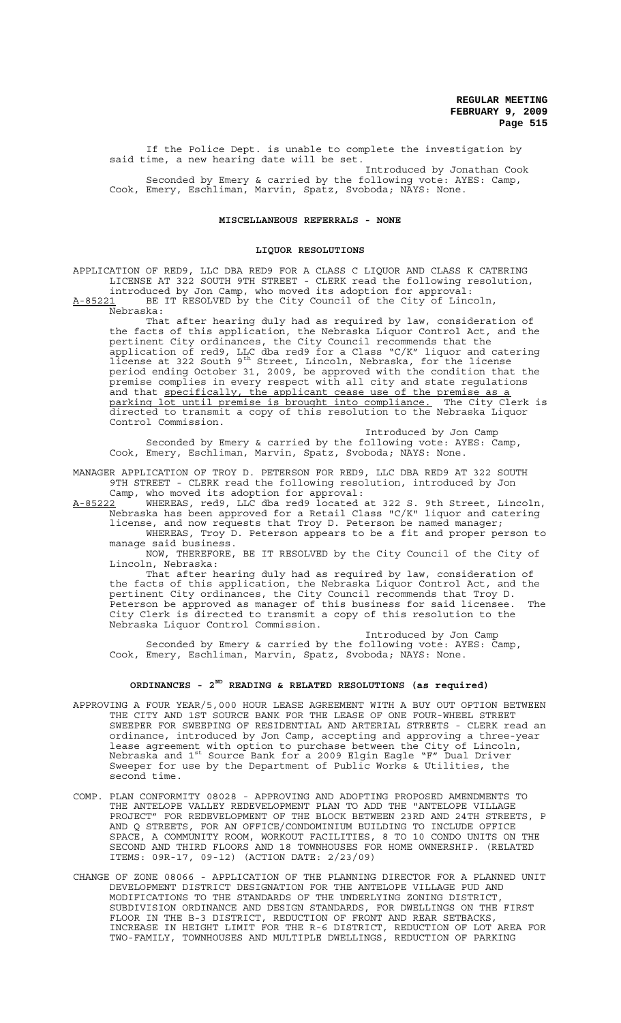If the Police Dept. is unable to complete the investigation by said time, a new hearing date will be set. Introduced by Jonathan Cook

Seconded by Emery & carried by the following vote: AYES: Camp, Cook, Emery, Eschliman, Marvin, Spatz, Svoboda; NAYS: None.

## **MISCELLANEOUS REFERRALS - NONE**

#### **LIQUOR RESOLUTIONS**

APPLICATION OF RED9, LLC DBA RED9 FOR A CLASS C LIQUOR AND CLASS K CATERING LICENSE AT 322 SOUTH 9TH STREET - CLERK read the following resolution, introduced by Jon Camp, who moved its adoption for approval:

A-85221 BE IT RESOLVED by the City Council of the City of Lincoln, Nebraska:

That after hearing duly had as required by law, consideration of the facts of this application, the Nebraska Liquor Control Act, and the pertinent City ordinances, the City Council recommends that the application of red9, LLC dba red9 for a Class "C/K" liquor and catering license at 322 South 9<sup>th</sup> Street, Lincoln, Nebraska, for the license period ending October 31, 2009, be approved with the condition that the premise complies in every respect with all city and state regulations and that specifically, the applicant cease use of the premise as a parking lot until premise is brought into compliance. The City Clerk is directed to transmit a copy of this resolution to the Nebraska Liquor Control Commission.

Introduced by Jon Camp Seconded by Emery & carried by the following vote: AYES: Camp, Cook, Emery, Eschliman, Marvin, Spatz, Svoboda; NAYS: None.

MANAGER APPLICATION OF TROY D. PETERSON FOR RED9, LLC DBA RED9 AT 322 SOUTH 9TH STREET - CLERK read the following resolution, introduced by Jon Camp, who moved its adoption for approval:

A-85222 WHEREAS, red9, LLC dba red9 located at 322 S. 9th Street, Lincoln, Nebraska has been approved for a Retail Class "C/K" liquor and catering license, and now requests that Troy D. Peterson be named manager;

WHEREAS, Troy D. Peterson appears to be a fit and proper person to manage said business.

NOW, THEREFORE, BE IT RESOLVED by the City Council of the City of Lincoln, Nebraska:

That after hearing duly had as required by law, consideration of the facts of this application, the Nebraska Liquor Control Act, and the pertinent City ordinances, the City Council recommends that Troy D. Peterson be approved as manager of this business for said licensee. The City Clerk is directed to transmit a copy of this resolution to the Nebraska Liquor Control Commission.

Introduced by Jon Camp Seconded by Emery & carried by the following vote: AYES: Camp, Cook, Emery, Eschliman, Marvin, Spatz, Svoboda; NAYS: None.

## **ORDINANCES - 2ND READING & RELATED RESOLUTIONS (as required)**

- APPROVING A FOUR YEAR/5,000 HOUR LEASE AGREEMENT WITH A BUY OUT OPTION BETWEEN THE CITY AND 1ST SOURCE BANK FOR THE LEASE OF ONE FOUR-WHEEL STREET SWEEPER FOR SWEEPING OF RESIDENTIAL AND ARTERIAL STREETS - CLERK read an ordinance, introduced by Jon Camp, accepting and approving a three-year lease agreement with option to purchase between the City of Lincoln, Nebraska and 1st Source Bank for a 2009 Elgin Eagle "F" Dual Driver Sweeper for use by the Department of Public Works & Utilities, the second time.
- COMP. PLAN CONFORMITY 08028 APPROVING AND ADOPTING PROPOSED AMENDMENTS TO THE ANTELOPE VALLEY REDEVELOPMENT PLAN TO ADD THE "ANTELOPE VILLAGE PROJECT" FOR REDEVELOPMENT OF THE BLOCK BETWEEN 23RD AND 24TH STREETS, P AND Q STREETS, FOR AN OFFICE/CONDOMINIUM BUILDING TO INCLUDE OFFICE SPACE, A COMMUNITY ROOM, WORKOUT FACILITIES, 8 TO 10 CONDO UNITS ON THE SECOND AND THIRD FLOORS AND 18 TOWNHOUSES FOR HOME OWNERSHIP. (RELATED ITEMS: 09R-17, 09-12) (ACTION DATE: 2/23/09)
- CHANGE OF ZONE 08066 APPLICATION OF THE PLANNING DIRECTOR FOR A PLANNED UNIT DEVELOPMENT DISTRICT DESIGNATION FOR THE ANTELOPE VILLAGE PUD AND MODIFICATIONS TO THE STANDARDS OF THE UNDERLYING ZONING DISTRICT, SUBDIVISION ORDINANCE AND DESIGN STANDARDS, FOR DWELLINGS ON THE FIRST FLOOR IN THE B-3 DISTRICT, REDUCTION OF FRONT AND REAR SETBACKS, INCREASE IN HEIGHT LIMIT FOR THE R-6 DISTRICT, REDUCTION OF LOT AREA FOR TWO-FAMILY, TOWNHOUSES AND MULTIPLE DWELLINGS, REDUCTION OF PARKING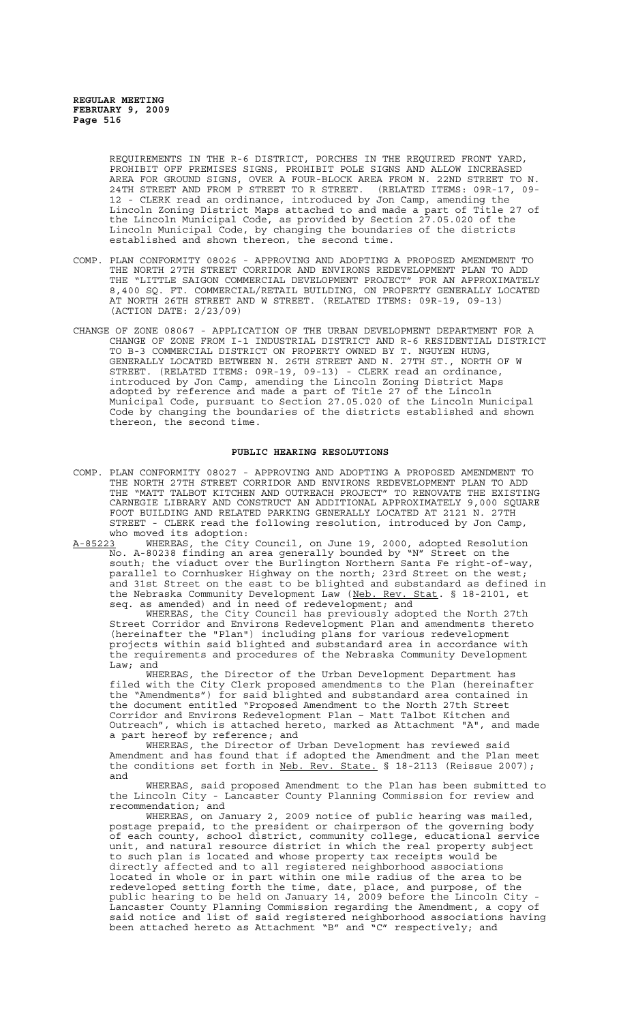REQUIREMENTS IN THE R-6 DISTRICT, PORCHES IN THE REQUIRED FRONT YARD, PROHIBIT OFF PREMISES SIGNS, PROHIBIT POLE SIGNS AND ALLOW INCREASED AREA FOR GROUND SIGNS, OVER A FOUR-BLOCK AREA FROM N. 22ND STREET TO N. 24TH STREET AND FROM P STREET TO R STREET. (RELATED ITEMS: 09R-17, 09- 12 - CLERK read an ordinance, introduced by Jon Camp, amending the Lincoln Zoning District Maps attached to and made a part of Title 27 of the Lincoln Municipal Code, as provided by Section 27.05.020 of the Lincoln Municipal Code, by changing the boundaries of the districts established and shown thereon, the second time.

- COMP. PLAN CONFORMITY 08026 APPROVING AND ADOPTING A PROPOSED AMENDMENT TO THE NORTH 27TH STREET CORRIDOR AND ENVIRONS REDEVELOPMENT PLAN TO ADD THE "LITTLE SAIGON COMMERCIAL DEVELOPMENT PROJECT" FOR AN APPROXIMATELY 8,400 SQ. FT. COMMERCIAL/RETAIL BUILDING, ON PROPERTY GENERALLY LOCATED AT NORTH 26TH STREET AND W STREET. (RELATED ITEMS: 09R-19, 09-13) (ACTION DATE: 2/23/09)
- CHANGE OF ZONE 08067 APPLICATION OF THE URBAN DEVELOPMENT DEPARTMENT FOR A CHANGE OF ZONE FROM I-1 INDUSTRIAL DISTRICT AND R-6 RESIDENTIAL DISTRICT TO B-3 COMMERCIAL DISTRICT ON PROPERTY OWNED BY T. NGUYEN HUNG, GENERALLY LOCATED BETWEEN N. 26TH STREET AND N. 27TH ST., NORTH OF W STREET. (RELATED ITEMS: 09R-19, 09-13) - CLERK read an ordinance, introduced by Jon Camp, amending the Lincoln Zoning District Maps adopted by reference and made a part of Title 27 of the Lincoln Municipal Code, pursuant to Section 27.05.020 of the Lincoln Municipal Code by changing the boundaries of the districts established and shown thereon, the second time.

#### **PUBLIC HEARING RESOLUTIONS**

- COMP. PLAN CONFORMITY 08027 APPROVING AND ADOPTING A PROPOSED AMENDMENT TO THE NORTH 27TH STREET CORRIDOR AND ENVIRONS REDEVELOPMENT PLAN TO ADD THE "MATT TALBOT KITCHEN AND OUTREACH PROJECT" TO RENOVATE THE EXISTING CARNEGIE LIBRARY AND CONSTRUCT AN ADDITIONAL APPROXIMATELY 9,000 SQUARE FOOT BUILDING AND RELATED PARKING GENERALLY LOCATED AT 2121 N. 27TH STREET - CLERK read the following resolution, introduced by Jon Camp, who moved its adoption:<br>A-85223 WHEREAS, the City
- A-85223 WHEREAS, the City Council, on June 19, 2000, adopted Resolution No. A-80238 finding an area generally bounded by "N" Street on the south; the viaduct over the Burlington Northern Santa Fe right-of-way, parallel to Cornhusker Highway on the north; 23rd Street on the west; and 31st Street on the east to be blighted and substandard as defined in the Nebraska Community Development Law (Neb. Rev. Stat. § 18-2101, et seq. as amended) and in need of redevelopment; and

WHEREAS, the City Council has previously adopted the North 27th Street Corridor and Environs Redevelopment Plan and amendments thereto (hereinafter the "Plan") including plans for various redevelopment projects within said blighted and substandard area in accordance with the requirements and procedures of the Nebraska Community Development Law; and

WHEREAS, the Director of the Urban Development Department has filed with the City Clerk proposed amendments to the Plan (hereinafter the "Amendments") for said blighted and substandard area contained in the document entitled "Proposed Amendment to the North 27th Street Corridor and Environs Redevelopment Plan – Matt Talbot Kitchen and Outreach", which is attached hereto, marked as Attachment "A", and made a part hereof by reference; and

WHEREAS, the Director of Urban Development has reviewed said Amendment and has found that if adopted the Amendment and the Plan meet the conditions set forth in Neb. Rev. State. § 18-2113 (Reissue 2007); and

WHEREAS, said proposed Amendment to the Plan has been submitted to the Lincoln City - Lancaster County Planning Commission for review and recommendation; and

WHEREAS, on January 2, 2009 notice of public hearing was mailed, postage prepaid, to the president or chairperson of the governing body of each county, school district, community college, educational service unit, and natural resource district in which the real property subject to such plan is located and whose property tax receipts would be directly affected and to all registered neighborhood associations located in whole or in part within one mile radius of the area to be redeveloped setting forth the time, date, place, and purpose, of the public hearing to be held on January 14, 2009 before the Lincoln City - Lancaster County Planning Commission regarding the Amendment, a copy of said notice and list of said registered neighborhood associations having been attached hereto as Attachment "B" and "C" respectively; and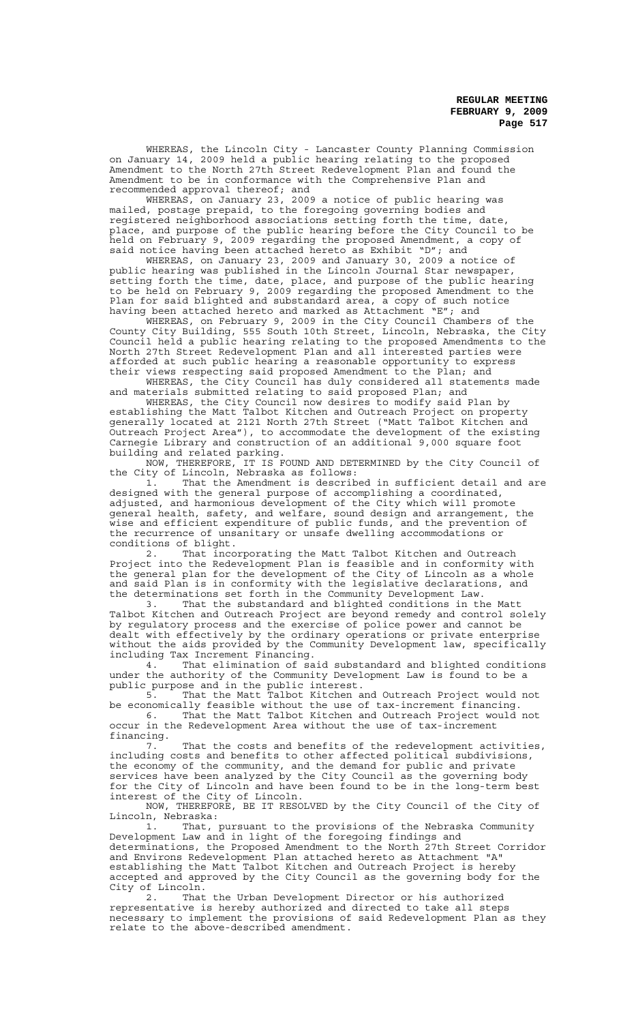WHEREAS, the Lincoln City - Lancaster County Planning Commission on January 14, 2009 held a public hearing relating to the proposed Amendment to the North 27th Street Redevelopment Plan and found the Amendment to be in conformance with the Comprehensive Plan and recommended approval thereof; and

WHEREAS, on January 23, 2009 a notice of public hearing was mailed, postage prepaid, to the foregoing governing bodies and registered neighborhood associations setting forth the time, date, place, and purpose of the public hearing before the City Council to be held on February 9, 2009 regarding the proposed Amendment, a copy of said notice having been attached hereto as Exhibit "D"; and

WHEREAS, on January 23, 2009 and January 30, 2009 a notice of public hearing was published in the Lincoln Journal Star newspaper, setting forth the time, date, place, and purpose of the public hearing to be held on February 9, 2009 regarding the proposed Amendment to the Plan for said blighted and substandard area, a copy of such notice having been attached hereto and marked as Attachment "E"; and

WHEREAS, on February 9, 2009 in the City Council Chambers of the County City Building, 555 South 10th Street, Lincoln, Nebraska, the City Council held a public hearing relating to the proposed Amendments to the North 27th Street Redevelopment Plan and all interested parties were afforded at such public hearing a reasonable opportunity to express their views respecting said proposed Amendment to the Plan; and

WHEREAS, the City Council has duly considered all statements made and materials submitted relating to said proposed Plan; and

WHEREAS, the City Council now desires to modify said Plan by establishing the Matt Talbot Kitchen and Outreach Project on property generally located at 2121 North 27th Street ("Matt Talbot Kitchen and Outreach Project Area"), to accommodate the development of the existing Carnegie Library and construction of an additional 9,000 square foot building and related parking.

NOW, THEREFORE, IT IS FOUND AND DETERMINED by the City Council of the City of Lincoln, Nebraska as follows:

1. That the Amendment is described in sufficient detail and are designed with the general purpose of accomplishing a coordinated, adjusted, and harmonious development of the City which will promote general health, safety, and welfare, sound design and arrangement, the wise and efficient expenditure of public funds, and the prevention of the recurrence of unsanitary or unsafe dwelling accommodations or conditions of blight.

2. That incorporating the Matt Talbot Kitchen and Outreach Project into the Redevelopment Plan is feasible and in conformity with the general plan for the development of the City of Lincoln as a whole and said Plan is in conformity with the legislative declarations, and the determinations set forth in the Community Development Law.

3. That the substandard and blighted conditions in the Matt Talbot Kitchen and Outreach Project are beyond remedy and control solely by regulatory process and the exercise of police power and cannot be dealt with effectively by the ordinary operations or private enterprise without the aids provided by the Community Development law, specifically including Tax Increment Financing.

4. That elimination of said substandard and blighted conditions under the authority of the Community Development Law is found to be a public purpose and in the public interest.

5. That the Matt Talbot Kitchen and Outreach Project would not be economically feasible without the use of tax-increment financing.

6. That the Matt Talbot Kitchen and Outreach Project would not occur in the Redevelopment Area without the use of tax-increment

financing. That the costs and benefits of the redevelopment activities, including costs and benefits to other affected political subdivisions, the economy of the community, and the demand for public and private services have been analyzed by the City Council as the governing body for the City of Lincoln and have been found to be in the long-term best interest of the City of Lincoln.

NOW, THEREFORE, BE IT RESOLVED by the City Council of the City of Lincoln, Nebraska:

1. That, pursuant to the provisions of the Nebraska Community Development Law and in light of the foregoing findings and determinations, the Proposed Amendment to the North 27th Street Corridor and Environs Redevelopment Plan attached hereto as Attachment "A" establishing the Matt Talbot Kitchen and Outreach Project is hereby accepted and approved by the City Council as the governing body for the City of Lincoln.

2. That the Urban Development Director or his authorized representative is hereby authorized and directed to take all steps necessary to implement the provisions of said Redevelopment Plan as they relate to the above-described amendment.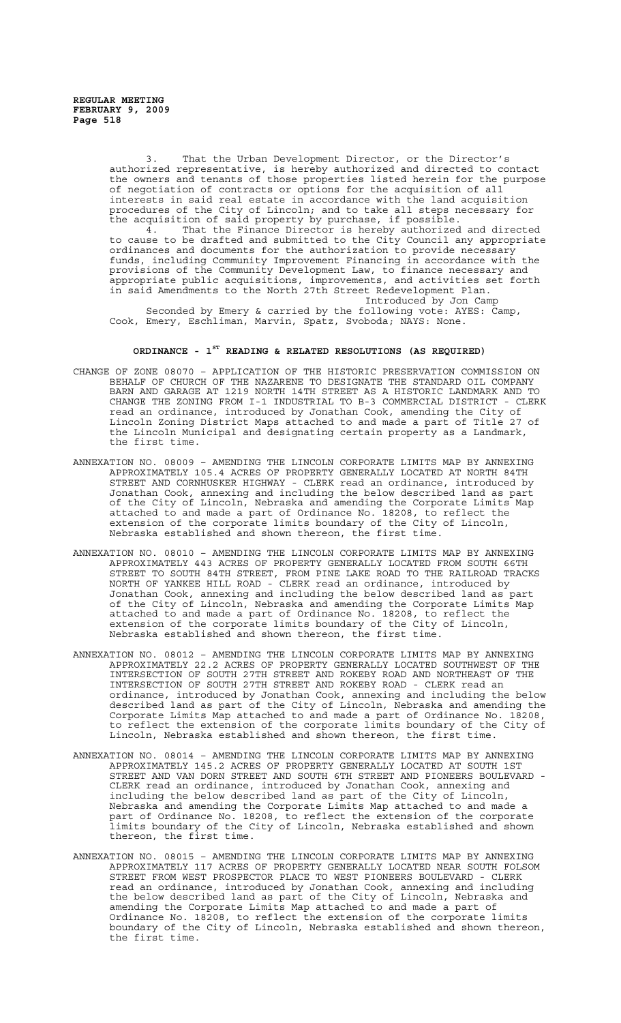3. That the Urban Development Director, or the Director's authorized representative, is hereby authorized and directed to contact the owners and tenants of those properties listed herein for the purpose of negotiation of contracts or options for the acquisition of all of negotiation of contracts or options for the acquisition of all interests in said real estate in accordance with the land acquisition procedures of the City of Lincoln; and to take all steps necessary for the acquisition of said property by purchase, if possible.

4. That the Finance Director is hereby authorized and directed to cause to be drafted and submitted to the City Council any appropriate ordinances and documents for the authorization to provide necessary funds, including Community Improvement Financing in accordance with the provisions of the Community Development Law, to finance necessary and appropriate public acquisitions, improvements, and activities set forth in said Amendments to the North 27th Street Redevelopment Plan. Introduced by Jon Camp

Seconded by Emery & carried by the following vote: AYES: Camp, Cook, Emery, Eschliman, Marvin, Spatz, Svoboda; NAYS: None.

### **ORDINANCE - 1ST READING & RELATED RESOLUTIONS (AS REQUIRED)**

- CHANGE OF ZONE 08070 APPLICATION OF THE HISTORIC PRESERVATION COMMISSION ON BEHALF OF CHURCH OF THE NAZARENE TO DESIGNATE THE STANDARD OIL COMPANY BARN AND GARAGE AT 1219 NORTH 14TH STREET AS A HISTORIC LANDMARK AND TO CHANGE THE ZONING FROM I-1 INDUSTRIAL TO B-3 COMMERCIAL DISTRICT - CLERK read an ordinance, introduced by Jonathan Cook, amending the City of Lincoln Zoning District Maps attached to and made a part of Title 27 of the Lincoln Municipal and designating certain property as a Landmark, the first time.
- ANNEXATION NO. 08009 AMENDING THE LINCOLN CORPORATE LIMITS MAP BY ANNEXING APPROXIMATELY 105.4 ACRES OF PROPERTY GENERALLY LOCATED AT NORTH 84TH STREET AND CORNHUSKER HIGHWAY - CLERK read an ordinance, introduced by Jonathan Cook, annexing and including the below described land as part of the City of Lincoln, Nebraska and amending the Corporate Limits Map attached to and made a part of Ordinance No. 18208, to reflect the extension of the corporate limits boundary of the City of Lincoln, Nebraska established and shown thereon, the first time.
- ANNEXATION NO. 08010 AMENDING THE LINCOLN CORPORATE LIMITS MAP BY ANNEXING APPROXIMATELY 443 ACRES OF PROPERTY GENERALLY LOCATED FROM SOUTH 66TH STREET TO SOUTH 84TH STREET, FROM PINE LAKE ROAD TO THE RAILROAD TRACKS NORTH OF YANKEE HILL ROAD - CLERK read an ordinance, introduced by Jonathan Cook, annexing and including the below described land as part of the City of Lincoln, Nebraska and amending the Corporate Limits Map attached to and made a part of Ordinance No. 18208, to reflect the extension of the corporate limits boundary of the City of Lincoln, Nebraska established and shown thereon, the first time.
- ANNEXATION NO. 08012 AMENDING THE LINCOLN CORPORATE LIMITS MAP BY ANNEXING APPROXIMATELY 22.2 ACRES OF PROPERTY GENERALLY LOCATED SOUTHWEST OF THE INTERSECTION OF SOUTH 27TH STREET AND ROKEBY ROAD AND NORTHEAST OF THE INTERSECTION OF SOUTH 27TH STREET AND ROKEBY ROAD - CLERK read an ordinance, introduced by Jonathan Cook, annexing and including the below described land as part of the City of Lincoln, Nebraska and amending the Corporate Limits Map attached to and made a part of Ordinance No. 18208, to reflect the extension of the corporate limits boundary of the City of Lincoln, Nebraska established and shown thereon, the first time.
- ANNEXATION NO. 08014 AMENDING THE LINCOLN CORPORATE LIMITS MAP BY ANNEXING APPROXIMATELY 145.2 ACRES OF PROPERTY GENERALLY LOCATED AT SOUTH 1ST STREET AND VAN DORN STREET AND SOUTH 6TH STREET AND PIONEERS BOULEVARD - CLERK read an ordinance, introduced by Jonathan Cook, annexing and including the below described land as part of the City of Lincoln, Nebraska and amending the Corporate Limits Map attached to and made a part of Ordinance No. 18208, to reflect the extension of the corporate limits boundary of the City of Lincoln, Nebraska established and shown thereon, the first time.
- ANNEXATION NO. 08015 AMENDING THE LINCOLN CORPORATE LIMITS MAP BY ANNEXING APPROXIMATELY 117 ACRES OF PROPERTY GENERALLY LOCATED NEAR SOUTH FOLSOM STREET FROM WEST PROSPECTOR PLACE TO WEST PIONEERS BOULEVARD - CLERK read an ordinance, introduced by Jonathan Cook, annexing and including the below described land as part of the City of Lincoln, Nebraska and amending the Corporate Limits Map attached to and made a part of Ordinance No. 18208, to reflect the extension of the corporate limits boundary of the City of Lincoln, Nebraska established and shown thereon, the first time.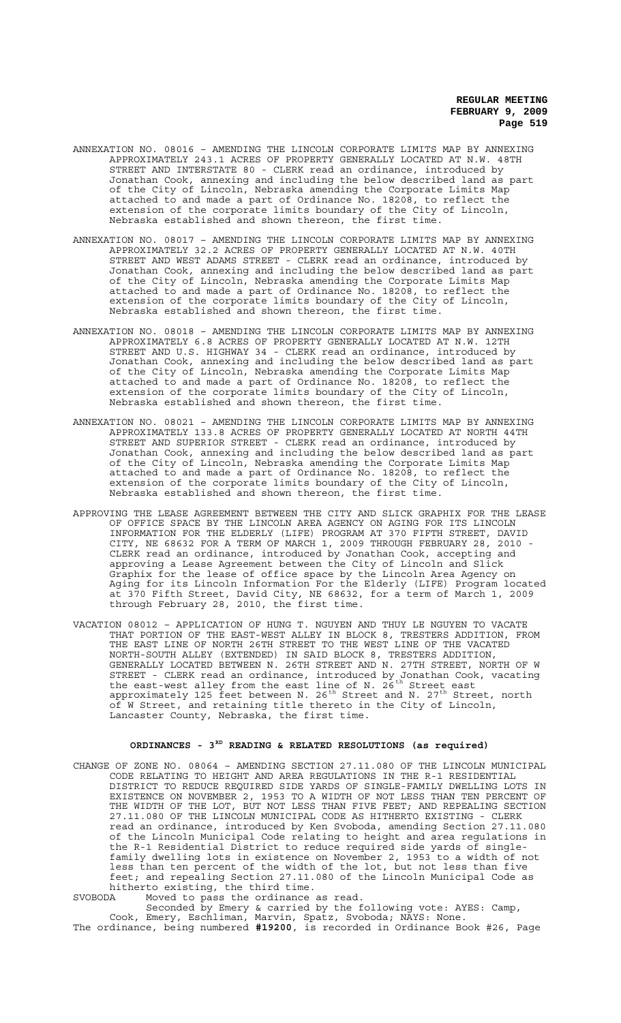- ANNEXATION NO. 08016 AMENDING THE LINCOLN CORPORATE LIMITS MAP BY ANNEXING APPROXIMATELY 243.1 ACRES OF PROPERTY GENERALLY LOCATED AT N.W. 48TH STREET AND INTERSTATE 80 - CLERK read an ordinance, introduced by Jonathan Cook, annexing and including the below described land as part of the City of Lincoln, Nebraska amending the Corporate Limits Map attached to and made a part of Ordinance No. 18208, to reflect the extension of the corporate limits boundary of the City of Lincoln, Nebraska established and shown thereon, the first time.
- ANNEXATION NO. 08017 AMENDING THE LINCOLN CORPORATE LIMITS MAP BY ANNEXING APPROXIMATELY 32.2 ACRES OF PROPERTY GENERALLY LOCATED AT N.W. 40TH STREET AND WEST ADAMS STREET - CLERK read an ordinance, introduced by Jonathan Cook, annexing and including the below described land as part of the City of Lincoln, Nebraska amending the Corporate Limits Map attached to and made a part of Ordinance No. 18208, to reflect the extension of the corporate limits boundary of the City of Lincoln, Nebraska established and shown thereon, the first time.
- ANNEXATION NO. 08018 AMENDING THE LINCOLN CORPORATE LIMITS MAP BY ANNEXING APPROXIMATELY 6.8 ACRES OF PROPERTY GENERALLY LOCATED AT N.W. 12TH STREET AND U.S. HIGHWAY 34 - CLERK read an ordinance, introduced by Jonathan Cook, annexing and including the below described land as part of the City of Lincoln, Nebraska amending the Corporate Limits Map attached to and made a part of Ordinance No. 18208, to reflect the extension of the corporate limits boundary of the City of Lincoln, Nebraska established and shown thereon, the first time.
- ANNEXATION NO. 08021 AMENDING THE LINCOLN CORPORATE LIMITS MAP BY ANNEXING APPROXIMATELY 133.8 ACRES OF PROPERTY GENERALLY LOCATED AT NORTH 44TH STREET AND SUPERIOR STREET - CLERK read an ordinance, introduced by Jonathan Cook, annexing and including the below described land as part of the City of Lincoln, Nebraska amending the Corporate Limits Map attached to and made a part of Ordinance No. 18208, to reflect the extension of the corporate limits boundary of the City of Lincoln, Nebraska established and shown thereon, the first time.
- APPROVING THE LEASE AGREEMENT BETWEEN THE CITY AND SLICK GRAPHIX FOR THE LEASE OF OFFICE SPACE BY THE LINCOLN AREA AGENCY ON AGING FOR ITS LINCOLN INFORMATION FOR THE ELDERLY (LIFE) PROGRAM AT 370 FIFTH STREET, DAVID CITY, NE 68632 FOR A TERM OF MARCH 1, 2009 THROUGH FEBRUARY 28, 2010 - CLERK read an ordinance, introduced by Jonathan Cook, accepting and approving a Lease Agreement between the City of Lincoln and Slick Graphix for the lease of office space by the Lincoln Area Agency on Aging for its Lincoln Information For the Elderly (LIFE) Program located at 370 Fifth Street, David City, NE 68632, for a term of March 1, 2009 through February 28, 2010, the first time.
- VACATION 08012 APPLICATION OF HUNG T. NGUYEN AND THUY LE NGUYEN TO VACATE THAT PORTION OF THE EAST-WEST ALLEY IN BLOCK 8, TRESTERS ADDITION, FROM THE EAST LINE OF NORTH 26TH STREET TO THE WEST LINE OF THE VACATED NORTH-SOUTH ALLEY (EXTENDED) IN SAID BLOCK 8, TRESTERS ADDITION, GENERALLY LOCATED BETWEEN N. 26TH STREET AND N. 27TH STREET, NORTH OF W STREET - CLERK read an ordinance, introduced by Jonathan Cook, vacating the east-west alley from the east line of N.  $26^\mathrm{th}$  Street east approximately 125 feet between N. 26<sup>th</sup> Street and N. 27<sup>th</sup> Street, north of W Street, and retaining title thereto in the City of Lincoln, Lancaster County, Nebraska, the first time.

## **ORDINANCES - 3RD READING & RELATED RESOLUTIONS (as required)**

CHANGE OF ZONE NO. 08064 – AMENDING SECTION 27.11.080 OF THE LINCOLN MUNICIPAL CODE RELATING TO HEIGHT AND AREA REGULATIONS IN THE R-1 RESIDENTIAL DISTRICT TO REDUCE REQUIRED SIDE YARDS OF SINGLE-FAMILY DWELLING LOTS IN EXISTENCE ON NOVEMBER 2, 1953 TO A WIDTH OF NOT LESS THAN TEN PERCENT OF THE WIDTH OF THE LOT, BUT NOT LESS THAN FIVE FEET; AND REPEALING SECTION 27.11.080 OF THE LINCOLN MUNICIPAL CODE AS HITHERTO EXISTING - CLERK read an ordinance, introduced by Ken Svoboda, amending Section 27.11.080 of the Lincoln Municipal Code relating to height and area regulations in the R-1 Residential District to reduce required side yards of singlefamily dwelling lots in existence on November 2, 1953 to a width of not less than ten percent of the width of the lot, but not less than five feet; and repealing Section 27.11.080 of the Lincoln Municipal Code as hitherto existing, the third time.

SVOBODA Moved to pass the ordinance as read.

Seconded by Emery & carried by the following vote: AYES: Camp, Cook, Emery, Eschliman, Marvin, Spatz, Svoboda; NAYS: None. The ordinance, being numbered **#19200**, is recorded in Ordinance Book #26, Page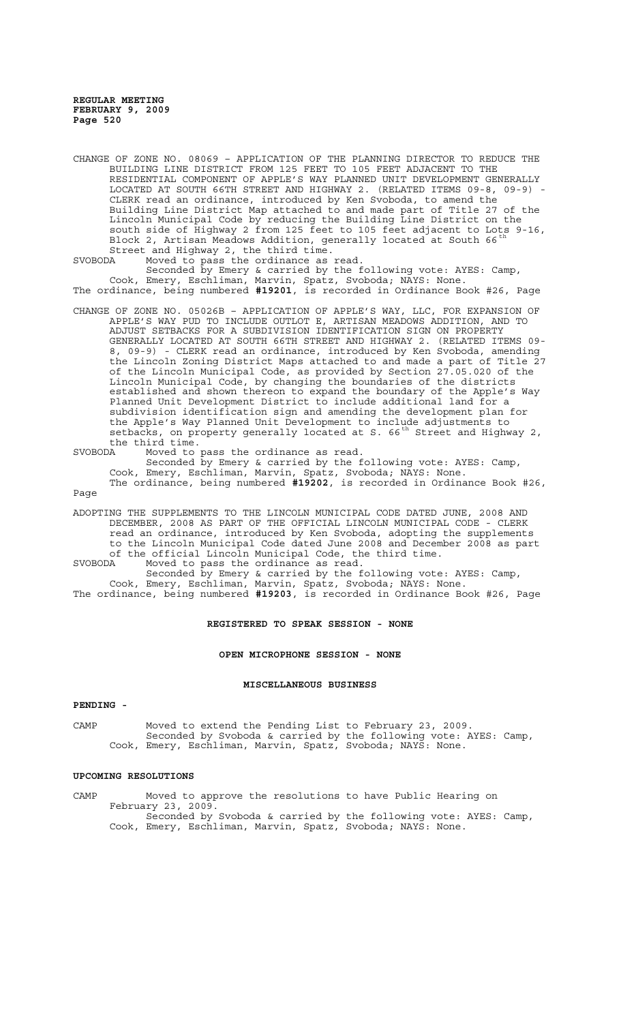CHANGE OF ZONE NO. 08069 – APPLICATION OF THE PLANNING DIRECTOR TO REDUCE THE BUILDING LINE DISTRICT FROM 125 FEET TO 105 FEET ADJACENT TO THE RESIDENTIAL COMPONENT OF APPLE'S WAY PLANNED UNIT DEVELOPMENT GENERALLY LOCATED AT SOUTH 66TH STREET AND HIGHWAY 2. (RELATED ITEMS 09-8, 09-9) - CLERK read an ordinance, introduced by Ken Svoboda, to amend the Building Line District Map attached to and made part of Title 27 of the Lincoln Municipal Code by reducing the Building Line District on the south side of Highway 2 from 125 feet to 105 feet adjacent to Lots 9-16, Block 2, Artisan Meadows Addition, generally located at South 66<sup>th</sup> Street and Highway 2, the third time.

SVOBODA Moved to pass the ordinance as read. Seconded by Emery & carried by the following vote: AYES: Camp, Cook, Emery, Eschliman, Marvin, Spatz, Svoboda; NAYS: None. The ordinance, being numbered **#19201**, is recorded in Ordinance Book #26, Page

CHANGE OF ZONE NO. 05026B – APPLICATION OF APPLE'S WAY, LLC, FOR EXPANSION OF APPLE'S WAY PUD TO INCLUDE OUTLOT E, ARTISAN MEADOWS ADDITION, AND TO ADJUST SETBACKS FOR A SUBDIVISION IDENTIFICATION SIGN ON PROPERTY GENERALLY LOCATED AT SOUTH 66TH STREET AND HIGHWAY 2. (RELATED ITEMS 09- 8, 09-9) - CLERK read an ordinance, introduced by Ken Svoboda, amending the Lincoln Zoning District Maps attached to and made a part of Title 27 of the Lincoln Municipal Code, as provided by Section 27.05.020 of the Lincoln Municipal Code, by changing the boundaries of the districts established and shown thereon to expand the boundary of the Apple's Way Planned Unit Development District to include additional land for a subdivision identification sign and amending the development plan for the Apple's Way Planned Unit Development to include adjustments to setbacks, on property generally located at S.  $66^{th}$  Street and Highway 2, the third time.

SVOBODA Moved to pass the ordinance as read. Seconded by Emery & carried by the following vote: AYES: Camp, Cook, Emery, Eschliman, Marvin, Spatz, Svoboda; NAYS: None. The ordinance, being numbered **#19202**, is recorded in Ordinance Book #26, Page

ADOPTING THE SUPPLEMENTS TO THE LINCOLN MUNICIPAL CODE DATED JUNE, 2008 AND DECEMBER, 2008 AS PART OF THE OFFICIAL LINCOLN MUNICIPAL CODE - CLERK read an ordinance, introduced by Ken Svoboda, adopting the supplements to the Lincoln Municipal Code dated June 2008 and December 2008 as part of the official Lincoln Municipal Code, the third time. SVOBODA Moved to pass the ordinance as read.

Seconded by Emery & carried by the following vote: AYES: Camp, Cook, Emery, Eschliman, Marvin, Spatz, Svoboda; NAYS: None. The ordinance, being numbered **#19203**, is recorded in Ordinance Book #26, Page

### **REGISTERED TO SPEAK SESSION - NONE**

**OPEN MICROPHONE SESSION - NONE**

### **MISCELLANEOUS BUSINESS**

### **PENDING -**

CAMP Moved to extend the Pending List to February 23, 2009. Seconded by Svoboda & carried by the following vote: AYES: Camp, Cook, Emery, Eschliman, Marvin, Spatz, Svoboda; NAYS: None.

## **UPCOMING RESOLUTIONS**

CAMP Moved to approve the resolutions to have Public Hearing on February 23, 2009. Seconded by Svoboda & carried by the following vote: AYES: Camp, Cook, Emery, Eschliman, Marvin, Spatz, Svoboda; NAYS: None.